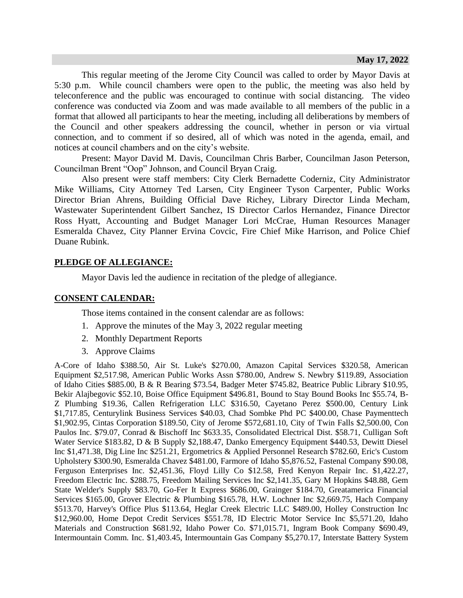This regular meeting of the Jerome City Council was called to order by Mayor Davis at 5:30 p.m. While council chambers were open to the public, the meeting was also held by teleconference and the public was encouraged to continue with social distancing. The video conference was conducted via Zoom and was made available to all members of the public in a format that allowed all participants to hear the meeting, including all deliberations by members of the Council and other speakers addressing the council, whether in person or via virtual connection, and to comment if so desired, all of which was noted in the agenda, email, and notices at council chambers and on the city's website.

Present: Mayor David M. Davis, Councilman Chris Barber, Councilman Jason Peterson, Councilman Brent "Oop" Johnson, and Council Bryan Craig.

Also present were staff members: City Clerk Bernadette Coderniz, City Administrator Mike Williams, City Attorney Ted Larsen, City Engineer Tyson Carpenter, Public Works Director Brian Ahrens, Building Official Dave Richey, Library Director Linda Mecham, Wastewater Superintendent Gilbert Sanchez, IS Director Carlos Hernandez, Finance Director Ross Hyatt, Accounting and Budget Manager Lori McCrae, Human Resources Manager Esmeralda Chavez, City Planner Ervina Covcic, Fire Chief Mike Harrison, and Police Chief Duane Rubink.

## **PLEDGE OF ALLEGIANCE:**

Mayor Davis led the audience in recitation of the pledge of allegiance.

### **CONSENT CALENDAR:**

Those items contained in the consent calendar are as follows:

- 1. Approve the minutes of the May 3, 2022 regular meeting
- 2. Monthly Department Reports
- 3. Approve Claims

A-Core of Idaho \$388.50, Air St. Luke's \$270.00, Amazon Capital Services \$320.58, American Equipment \$2,517.98, American Public Works Assn \$780.00, Andrew S. Newbry \$119.89, Association of Idaho Cities \$885.00, B & R Bearing \$73.54, Badger Meter \$745.82, Beatrice Public Library \$10.95, Bekir Alajbegovic \$52.10, Boise Office Equipment \$496.81, Bound to Stay Bound Books Inc \$55.74, B-Z Plumbing \$19.36, Callen Refrigeration LLC \$316.50, Cayetano Perez \$500.00, Century Link \$1,717.85, Centurylink Business Services \$40.03, Chad Sombke Phd PC \$400.00, Chase Paymenttech \$1,902.95, Cintas Corporation \$189.50, City of Jerome \$572,681.10, City of Twin Falls \$2,500.00, Con Paulos Inc. \$79.07, Conrad & Bischoff Inc \$633.35, Consolidated Electrical Dist. \$58.71, Culligan Soft Water Service \$183.82, D & B Supply \$2,188.47, Danko Emergency Equipment \$440.53, Dewitt Diesel Inc \$1,471.38, Dig Line Inc \$251.21, Ergometrics & Applied Personnel Research \$782.60, Eric's Custom Upholstery \$300.90, Esmeralda Chavez \$481.00, Farmore of Idaho \$5,876.52, Fastenal Company \$90.08, Ferguson Enterprises Inc. \$2,451.36, Floyd Lilly Co \$12.58, Fred Kenyon Repair Inc. \$1,422.27, Freedom Electric Inc. \$288.75, Freedom Mailing Services Inc \$2,141.35, Gary M Hopkins \$48.88, Gem State Welder's Supply \$83.70, Go-Fer It Express \$686.00, Grainger \$184.70, Greatamerica Financial Services \$165.00, Grover Electric & Plumbing \$165.78, H.W. Lochner Inc \$2,669.75, Hach Company \$513.70, Harvey's Office Plus \$113.64, Heglar Creek Electric LLC \$489.00, Holley Construction Inc \$12,960.00, Home Depot Credit Services \$551.78, ID Electric Motor Service Inc \$5,571.20, Idaho Materials and Construction \$681.92, Idaho Power Co. \$71,015.71, Ingram Book Company \$690.49, Intermountain Comm. Inc. \$1,403.45, Intermountain Gas Company \$5,270.17, Interstate Battery System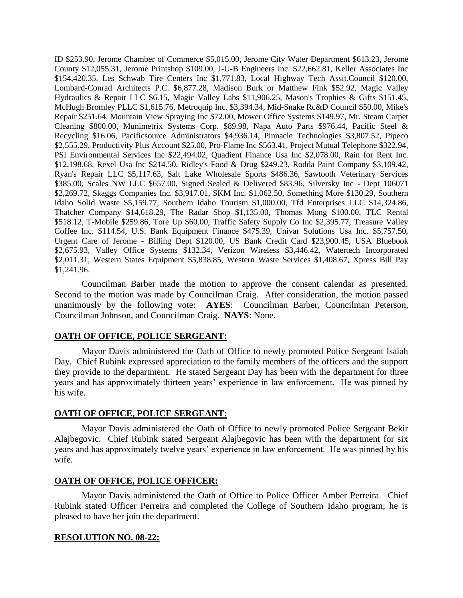ID \$253.90, Jerome Chamber of Commerce \$5,015.00, Jerome City Water Department \$613.23, Jerome County \$12,055.31, Jerome Printshop \$109.00, J-U-B Engineers Inc. \$22,662.81, Keller Associates Inc \$154,420.35, Les Schwab Tire Centers Inc \$1,771.83, Local Highway Tech Assit.Council \$120.00, Lombard-Conrad Architects P.C. \$6,877.28, Madison Burk or Matthew Fink \$52.92, Magic Valley Hydraulics & Repair LLC \$6.15, Magic Valley Labs \$11,906.25, Mason's Trophies & Gifts \$151.45, McHugh Bromley PLLC \$1,615.76, Metroquip Inc. \$3,394.34, Mid-Snake Rc&D Council \$50.00, Mike's Repair \$251.64, Mountain View Spraying Inc \$72.00, Mower Office Systems \$149.97, Mr. Steam Carpet Cleaning \$800.00, Munimetrix Systems Corp. \$89.98, Napa Auto Parts \$976.44, Pacific Steel & Recycling \$16.06, Pacificsource Administrators \$4,936.14, Pinnacle Technologies \$3,807.52, Pipeco \$2,555.29, Productivity Plus Account \$25.00, Pro-Flame Inc \$563.41, Project Mutual Telephone \$322.94, PSI Environmental Services Inc \$22,494.02, Quadient Finance Usa Inc \$2,078.00, Rain for Rent Inc. \$12,198.68, Rexel Usa Inc \$214.50, Ridley's Food & Drug \$249.23, Rodda Paint Company \$3,109.42, Ryan's Repair LLC \$5,117.63, Salt Lake Wholesale Sports \$486.36, Sawtooth Veterinary Services \$385.00, Scales NW LLC \$657.00, Signed Sealed & Delivered \$83.96, Silversky Inc - Dept 106071 \$2,269.72, Skaggs Companies Inc. \$3,917.01, SKM Inc. \$1,062.50, Something More \$130.29, Southern Idaho Solid Waste \$5,159.77, Southern Idaho Tourism \$1,000.00, Tfd Enterprises LLC \$14,324.86, Thatcher Company \$14,618.29, The Radar Shop \$1,135.00, Thomas Mong \$100.00, TLC Rental \$518.12, T-Mobile \$259.86, Tore Up \$60.00, Traffic Safety Supply Co Inc \$2,395.77, Treasure Valley Coffee Inc. \$114.54, U.S. Bank Equipment Finance \$475.39, Univar Solutions Usa Inc. \$5,757.50, Urgent Care of Jerome - Billing Dept \$120.00, US Bank Credit Card \$23,900.45, USA Bluebook \$2,675.93, Valley Office Systems \$132.34, Verizon Wireless \$3,446.42, Watertech Incorporated \$2,011.31, Western States Equipment \$5,838.85, Western Waste Services \$1,408.67, Xpress Bill Pay \$1,241.96.

Councilman Barber made the motion to approve the consent calendar as presented. Second to the motion was made by Councilman Craig. After consideration, the motion passed unanimously by the following vote: **AYES**: Councilman Barber, Councilman Peterson, Councilman Johnson, and Councilman Craig. **NAYS**: None.

## **OATH OF OFFICE, POLICE SERGEANT:**

Mayor Davis administered the Oath of Office to newly promoted Police Sergeant Isaiah Day. Chief Rubink expressed appreciation to the family members of the officers and the support they provide to the department. He stated Sergeant Day has been with the department for three years and has approximately thirteen years' experience in law enforcement. He was pinned by his wife.

## **OATH OF OFFICE, POLICE SERGEANT:**

Mayor Davis administered the Oath of Office to newly promoted Police Sergeant Bekir Alajbegovic. Chief Rubink stated Sergeant Alajbegovic has been with the department for six years and has approximately twelve years' experience in law enforcement. He was pinned by his wife.

## **OATH OF OFFICE, POLICE OFFICER:**

Mayor Davis administered the Oath of Office to Police Officer Amber Perreira. Chief Rubink stated Officer Perreira and completed the College of Southern Idaho program; he is pleased to have her join the department.

## **RESOLUTION NO. 08-22:**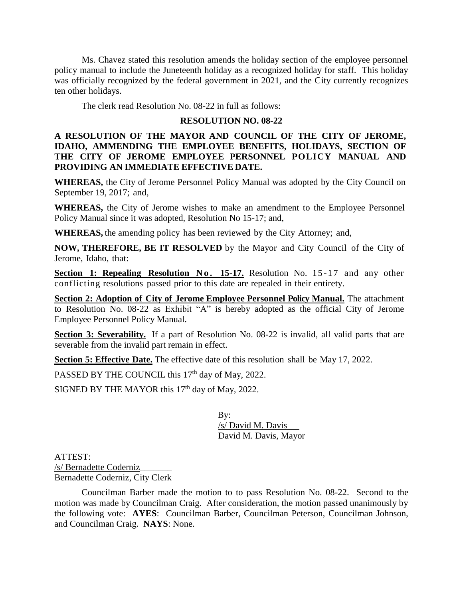Ms. Chavez stated this resolution amends the holiday section of the employee personnel policy manual to include the Juneteenth holiday as a recognized holiday for staff. This holiday was officially recognized by the federal government in 2021, and the City currently recognizes ten other holidays.

The clerk read Resolution No. 08-22 in full as follows:

### **RESOLUTION NO. 08-22**

**A RESOLUTION OF THE MAYOR AND COUNCIL OF THE CITY OF JEROME, IDAHO, AMMENDING THE EMPLOYEE BENEFITS, HOLIDAYS, SECTION OF THE CITY OF JEROME EMPLOYEE PERSONNEL POLICY MANUAL AND PROVIDING AN IMMEDIATE EFFECTIVE DATE.**

**WHEREAS,** the City of Jerome Personnel Policy Manual was adopted by the City Council on September 19, 2017; and,

**WHEREAS,** the City of Jerome wishes to make an amendment to the Employee Personnel Policy Manual since it was adopted, Resolution No 15-17; and,

**WHEREAS,** the amending policy has been reviewed by the City Attorney; and,

**NOW, THEREFORE, BE IT RESOLVED** by the Mayor and City Council of the City of Jerome, Idaho, that:

**Section 1: Repealing Resolution No. 15-17.** Resolution No. 15-17 and any other conflicting resolutions passed prior to this date are repealed in their entirety.

**Section 2: Adoption of City of Jerome Employee Personnel Policy Manual.** The attachment to Resolution No. 08-22 as Exhibit "A" is hereby adopted as the official City of Jerome Employee Personnel Policy Manual.

**Section 3: Severability.** If a part of Resolution No. 08-22 is invalid, all valid parts that are severable from the invalid part remain in effect.

**Section 5: Effective Date.** The effective date of this resolution shall be May 17, 2022.

PASSED BY THE COUNCIL this 17<sup>th</sup> day of May, 2022.

SIGNED BY THE MAYOR this  $17<sup>th</sup>$  day of May, 2022.

By: /s/ David M. Davis David M. Davis, Mayor

ATTEST: /s/ Bernadette Coderniz\_\_\_\_\_\_\_ Bernadette Coderniz, City Clerk

Councilman Barber made the motion to to pass Resolution No. 08-22. Second to the motion was made by Councilman Craig. After consideration, the motion passed unanimously by the following vote: **AYES**: Councilman Barber, Councilman Peterson, Councilman Johnson, and Councilman Craig. **NAYS**: None.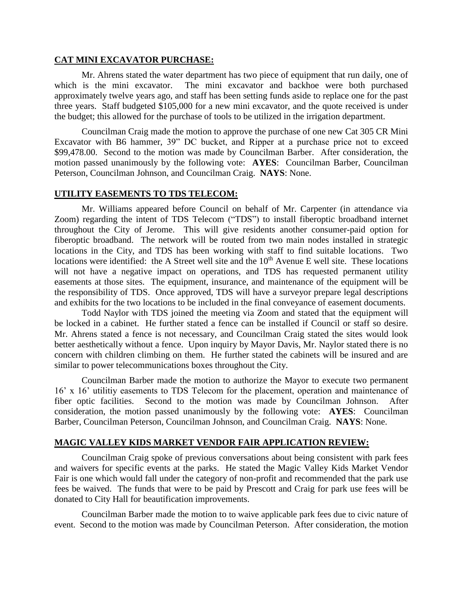### **CAT MINI EXCAVATOR PURCHASE:**

Mr. Ahrens stated the water department has two piece of equipment that run daily, one of which is the mini excavator. The mini excavator and backhoe were both purchased approximately twelve years ago, and staff has been setting funds aside to replace one for the past three years. Staff budgeted \$105,000 for a new mini excavator, and the quote received is under the budget; this allowed for the purchase of tools to be utilized in the irrigation department.

Councilman Craig made the motion to approve the purchase of one new Cat 305 CR Mini Excavator with B6 hammer, 39" DC bucket, and Ripper at a purchase price not to exceed \$99,478.00. Second to the motion was made by Councilman Barber. After consideration, the motion passed unanimously by the following vote: **AYES**: Councilman Barber, Councilman Peterson, Councilman Johnson, and Councilman Craig. **NAYS**: None.

### **UTILITY EASEMENTS TO TDS TELECOM:**

Mr. Williams appeared before Council on behalf of Mr. Carpenter (in attendance via Zoom) regarding the intent of TDS Telecom ("TDS") to install fiberoptic broadband internet throughout the City of Jerome. This will give residents another consumer-paid option for fiberoptic broadband. The network will be routed from two main nodes installed in strategic locations in the City, and TDS has been working with staff to find suitable locations. Two locations were identified: the A Street well site and the  $10<sup>th</sup>$  Avenue E well site. These locations will not have a negative impact on operations, and TDS has requested permanent utility easements at those sites. The equipment, insurance, and maintenance of the equipment will be the responsibility of TDS. Once approved, TDS will have a surveyor prepare legal descriptions and exhibits for the two locations to be included in the final conveyance of easement documents.

Todd Naylor with TDS joined the meeting via Zoom and stated that the equipment will be locked in a cabinet. He further stated a fence can be installed if Council or staff so desire. Mr. Ahrens stated a fence is not necessary, and Councilman Craig stated the sites would look better aesthetically without a fence. Upon inquiry by Mayor Davis, Mr. Naylor stated there is no concern with children climbing on them. He further stated the cabinets will be insured and are similar to power telecommunications boxes throughout the City.

Councilman Barber made the motion to authorize the Mayor to execute two permanent 16' x 16' utilitiy easements to TDS Telecom for the placement, operation and maintenance of fiber optic facilities. Second to the motion was made by Councilman Johnson. After consideration, the motion passed unanimously by the following vote: **AYES**: Councilman Barber, Councilman Peterson, Councilman Johnson, and Councilman Craig. **NAYS**: None.

## **MAGIC VALLEY KIDS MARKET VENDOR FAIR APPLICATION REVIEW:**

Councilman Craig spoke of previous conversations about being consistent with park fees and waivers for specific events at the parks. He stated the Magic Valley Kids Market Vendor Fair is one which would fall under the category of non-profit and recommended that the park use fees be waived. The funds that were to be paid by Prescott and Craig for park use fees will be donated to City Hall for beautification improvements.

Councilman Barber made the motion to to waive applicable park fees due to civic nature of event. Second to the motion was made by Councilman Peterson. After consideration, the motion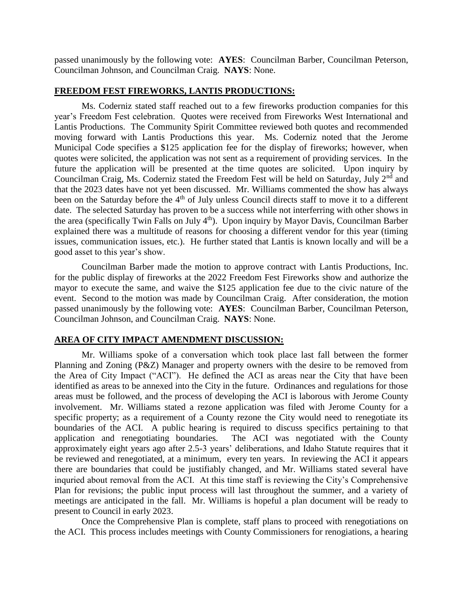passed unanimously by the following vote: **AYES**: Councilman Barber, Councilman Peterson, Councilman Johnson, and Councilman Craig. **NAYS**: None.

## **FREEDOM FEST FIREWORKS, LANTIS PRODUCTIONS:**

Ms. Coderniz stated staff reached out to a few fireworks production companies for this year's Freedom Fest celebration. Quotes were received from Fireworks West International and Lantis Productions. The Community Spirit Committee reviewed both quotes and recommended moving forward with Lantis Productions this year. Ms. Coderniz noted that the Jerome Municipal Code specifies a \$125 application fee for the display of fireworks; however, when quotes were solicited, the application was not sent as a requirement of providing services. In the future the application will be presented at the time quotes are solicited. Upon inquiry by Councilman Craig, Ms. Coderniz stated the Freedom Fest will be held on Saturday, July 2<sup>nd</sup> and that the 2023 dates have not yet been discussed. Mr. Williams commented the show has always been on the Saturday before the 4<sup>th</sup> of July unless Council directs staff to move it to a different date. The selected Saturday has proven to be a success while not interferring with other shows in the area (specifically Twin Falls on July  $4<sup>th</sup>$ ). Upon inquiry by Mayor Davis, Councilman Barber explained there was a multitude of reasons for choosing a different vendor for this year (timing issues, communication issues, etc.). He further stated that Lantis is known locally and will be a good asset to this year's show.

Councilman Barber made the motion to approve contract with Lantis Productions, Inc. for the public display of fireworks at the 2022 Freedom Fest Fireworks show and authorize the mayor to execute the same, and waive the \$125 application fee due to the civic nature of the event. Second to the motion was made by Councilman Craig. After consideration, the motion passed unanimously by the following vote: **AYES**: Councilman Barber, Councilman Peterson, Councilman Johnson, and Councilman Craig. **NAYS**: None.

## **AREA OF CITY IMPACT AMENDMENT DISCUSSION:**

Mr. Williams spoke of a conversation which took place last fall between the former Planning and Zoning (P&Z) Manager and property owners with the desire to be removed from the Area of City Impact ("ACI"). He defined the ACI as areas near the City that have been identified as areas to be annexed into the City in the future. Ordinances and regulations for those areas must be followed, and the process of developing the ACI is laborous with Jerome County involvement. Mr. Williams stated a rezone application was filed with Jerome County for a specific property; as a requirement of a County rezone the City would need to renegotiate its boundaries of the ACI. A public hearing is required to discuss specifics pertaining to that application and renegotiating boundaries. The ACI was negotiated with the County approximately eight years ago after 2.5-3 years' deliberations, and Idaho Statute requires that it be reviewed and renegotiated, at a minimum, every ten years. In reviewing the ACI it appears there are boundaries that could be justifiably changed, and Mr. Williams stated several have inquried about removal from the ACI. At this time staff is reviewing the City's Comprehensive Plan for revisions; the public input process will last throughout the summer, and a variety of meetings are anticipated in the fall. Mr. Williams is hopeful a plan document will be ready to present to Council in early 2023.

Once the Comprehensive Plan is complete, staff plans to proceed with renegotiations on the ACI. This process includes meetings with County Commissioners for renogiations, a hearing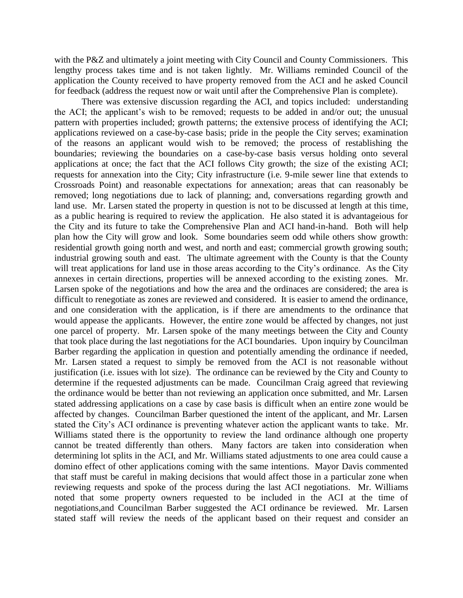with the P&Z and ultimately a joint meeting with City Council and County Commissioners. This lengthy process takes time and is not taken lightly. Mr. Williams reminded Council of the application the County received to have property removed from the ACI and he asked Council for feedback (address the request now or wait until after the Comprehensive Plan is complete).

There was extensive discussion regarding the ACI, and topics included: understanding the ACI; the applicant's wish to be removed; requests to be added in and/or out; the unusual pattern with properties included; growth patterns; the extensive process of identifying the ACI; applications reviewed on a case-by-case basis; pride in the people the City serves; examination of the reasons an applicant would wish to be removed; the process of restablishing the boundaries; reviewing the boundaries on a case-by-case basis versus holding onto several applications at once; the fact that the ACI follows City growth; the size of the existing ACI; requests for annexation into the City; City infrastructure (i.e. 9-mile sewer line that extends to Crossroads Point) and reasonable expectations for annexation; areas that can reasonably be removed; long negotiations due to lack of planning; and, conversations regarding growth and land use. Mr. Larsen stated the property in question is not to be discussed at length at this time, as a public hearing is required to review the application. He also stated it is advantageious for the City and its future to take the Comprehensive Plan and ACI hand-in-hand. Both will help plan how the City will grow and look. Some boundaries seem odd while others show growth: residential growth going north and west, and north and east; commercial growth growing south; industrial growing south and east. The ultimate agreement with the County is that the County will treat applications for land use in those areas according to the City's ordinance. As the City annexes in certain directions, properties will be annexed according to the existing zones. Mr. Larsen spoke of the negotiations and how the area and the ordinaces are considered; the area is difficult to renegotiate as zones are reviewed and considered. It is easier to amend the ordinance, and one consideration with the application, is if there are amendments to the ordinance that would appease the applicants. However, the entire zone would be affected by changes, not just one parcel of property. Mr. Larsen spoke of the many meetings between the City and County that took place during the last negotiations for the ACI boundaries. Upon inquiry by Councilman Barber regarding the application in question and potentially amending the ordinance if needed, Mr. Larsen stated a request to simply be removed from the ACI is not reasonable without justification (i.e. issues with lot size). The ordinance can be reviewed by the City and County to determine if the requested adjustments can be made. Councilman Craig agreed that reviewing the ordinance would be better than not reviewing an application once submitted, and Mr. Larsen stated addressing applications on a case by case basis is difficult when an entire zone would be affected by changes. Councilman Barber questioned the intent of the applicant, and Mr. Larsen stated the City's ACI ordinance is preventing whatever action the applicant wants to take. Mr. Williams stated there is the opportunity to review the land ordinance although one property cannot be treated differently than others. Many factors are taken into consideration when determining lot splits in the ACI, and Mr. Williams stated adjustments to one area could cause a domino effect of other applications coming with the same intentions. Mayor Davis commented that staff must be careful in making decisions that would affect those in a particular zone when reviewing requests and spoke of the process during the last ACI negotiations. Mr. Williams noted that some property owners requested to be included in the ACI at the time of negotiations,and Councilman Barber suggested the ACI ordinance be reviewed. Mr. Larsen stated staff will review the needs of the applicant based on their request and consider an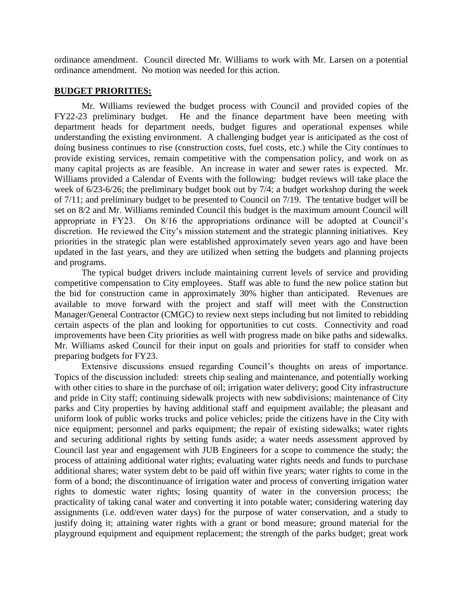ordinance amendment. Council directed Mr. Williams to work with Mr. Larsen on a potential ordinance amendment. No motion was needed for this action.

#### **BUDGET PRIORITIES:**

Mr. Williams reviewed the budget process with Council and provided copies of the FY22-23 preliminary budget. He and the finance department have been meeting with department heads for department needs, budget figures and operational expenses while understanding the existing environment. A challenging budget year is anticipated as the cost of doing business continues to rise (construction costs, fuel costs, etc.) while the City continues to provide existing services, remain competitive with the compensation policy, and work on as many capital projects as are feasible. An increase in water and sewer rates is expected. Mr. Williams provided a Calendar of Events with the following: budget reviews will take place the week of 6/23-6/26; the preliminary budget book out by 7/4; a budget workshop during the week of 7/11; and preliminary budget to be presented to Council on 7/19. The tentative budget will be set on 8/2 and Mr. Williams reminded Council this budget is the maximum amount Council will appropriate in FY23. On 8/16 the appropriations ordinance will be adopted at Council's discretion. He reviewed the City's mission statement and the strategic planning initiatives. Key priorities in the strategic plan were established approximately seven years ago and have been updated in the last years, and they are utilized when setting the budgets and planning projects and programs.

The typical budget drivers include maintaining current levels of service and providing competitive compensation to City employees. Staff was able to fund the new police station but the bid for construction came in approximately 30% higher than anticipated. Revenues are available to move forward with the project and staff will meet with the Construction Manager/General Contractor (CMGC) to review next steps including but not limited to rebidding certain aspects of the plan and looking for opportunities to cut costs. Connectivity and road improvements have been City priorities as well with progress made on bike paths and sidewalks. Mr. Williams asked Council for their input on goals and priorities for staff to consider when preparing budgets for FY23.

Extensive discussions ensued regarding Council's thoughts on areas of importance. Topics of the discussion included: streets chip sealing and maintenance, and potentially working with other cities to share in the purchase of oil; irrigation water delivery; good City infrastructure and pride in City staff; continuing sidewalk projects with new subdivisions; maintenance of City parks and City properties by having additional staff and equipment available; the pleasant and uniform look of public works trucks and police vehicles; pride the citizens have in the City with nice equipment; personnel and parks equipment; the repair of existing sidewalks; water rights and securing additional rights by setting funds aside; a water needs assessment approved by Council last year and engagement with JUB Engineers for a scope to commence the study; the process of attaining additional water rights; evaluating water rights needs and funds to purchase additional shares; water system debt to be paid off within five years; water rights to come in the form of a bond; the discontinuance of irrigation water and process of converting irrigation water rights to domestic water rights; losing quantity of water in the conversion process; the practicality of taking canal water and converting it into potable water; considering watering day assignments (i.e. odd/even water days) for the purpose of water conservation, and a study to justify doing it; attaining water rights with a grant or bond measure; ground material for the playground equipment and equipment replacement; the strength of the parks budget; great work